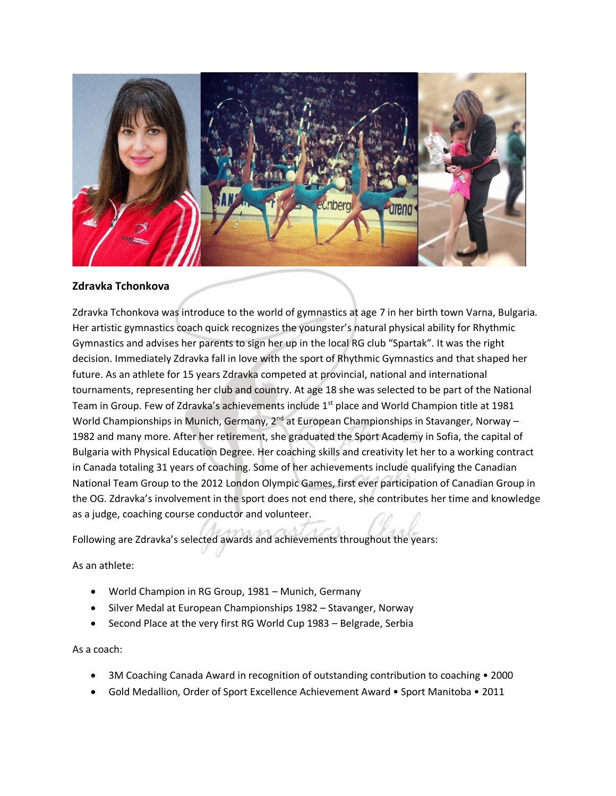

## **Zdravka Tchonkova**

Zdravka Tchonkova was introduce to the world of gymnastics at age 7 in her birth town Varna, Bulgaria. Her artistic gymnastics coach quick recognizes the youngster's natural physical ability for Rhythmic Gymnastics and advises her parents to sign her up in the local RG club "Spartak". It was the right decision. Immediately Zdravka fall in love with the sport of Rhythmic Gymnastics and that shaped her future. As an athlete for 15 years Zdravka competed at provincial, national and international tournaments, representing her club and country. At age 18 she was selected to be part of the National Team in Group. Few of Zdravka's achievements include  $1<sup>st</sup>$  place and World Champion title at 1981 World Championships in Munich, Germany, 2<sup>nd</sup> at European Championships in Stavanger, Norway – 1982 and many more. After her retirement, she graduated the Sport Academy in Sofia, the capital of Bulgaria with Physical Education Degree. Her coaching skills and creativity let her to a working contract in Canada totaling 31 years of coaching. Some of her achievements include qualifying the Canadian National Team Group to the 2012 London Olympic Games, first ever participation of Canadian Group in the OG. Zdravka's involvement in the sport does not end there, she contributes her time and knowledge as a judge, coaching course conductor and volunteer.

Following are Zdravka's selected awards and achievements throughout the years:

As an athlete:

- World Champion in RG Group, 1981 Munich, Germany
- Silver Medal at European Championships 1982 Stavanger, Norway
- Second Place at the very first RG World Cup 1983 Belgrade, Serbia

As a coach:

- 3M Coaching Canada Award in recognition of outstanding contribution to coaching 2000
- Gold Medallion, Order of Sport Excellence Achievement Award Sport Manitoba 2011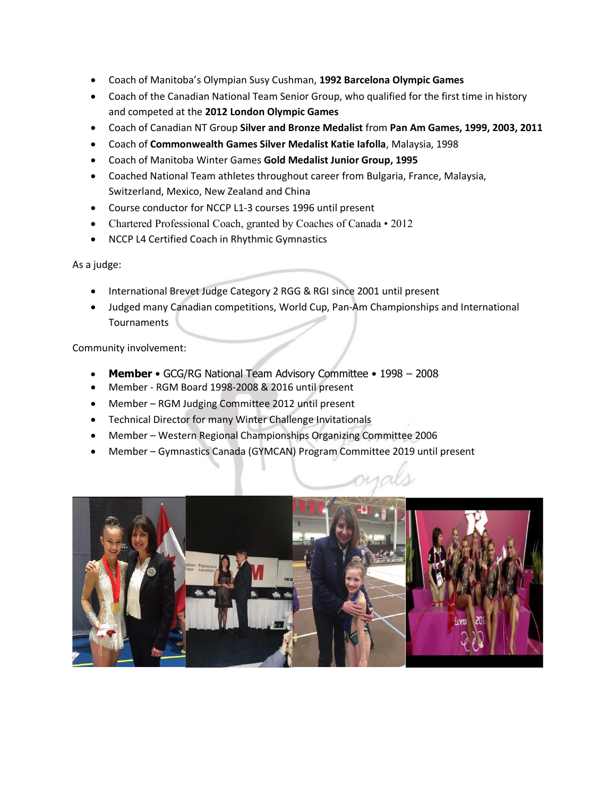- Coach of Manitoba's Olympian Susy Cushman, **1992 Barcelona Olympic Games**
- Coach of the Canadian National Team Senior Group, who qualified for the first time in history and competed at the **2012 London Olympic Games**
- Coach of Canadian NT Group **Silver and Bronze Medalist** from **Pan Am Games, 1999, 2003, 2011**
- Coach of **Commonwealth Games Silver Medalist Katie Iafolla**, Malaysia, 1998
- Coach of Manitoba Winter Games **Gold Medalist Junior Group, 1995**
- Coached National Team athletes throughout career from Bulgaria, France, Malaysia, Switzerland, Mexico, New Zealand and China
- Course conductor for NCCP L1-3 courses 1996 until present
- Chartered Professional Coach, granted by Coaches of Canada 2012
- NCCP L4 Certified Coach in Rhythmic Gymnastics

As a judge:

- International Brevet Judge Category 2 RGG & RGI since 2001 until present
- Judged many Canadian competitions, World Cup, Pan-Am Championships and International **Tournaments**

Community involvement:

- **Member**  GCG/RG National Team Advisory Committee 1998 2008
- Member RGM Board 1998-2008 & 2016 until present
- Member RGM Judging Committee 2012 until present
- Technical Director for many Winter Challenge Invitationals
- Member Western Regional Championships Organizing Committee 2006
- Member Gymnastics Canada (GYMCAN) Program Committee 2019 until present